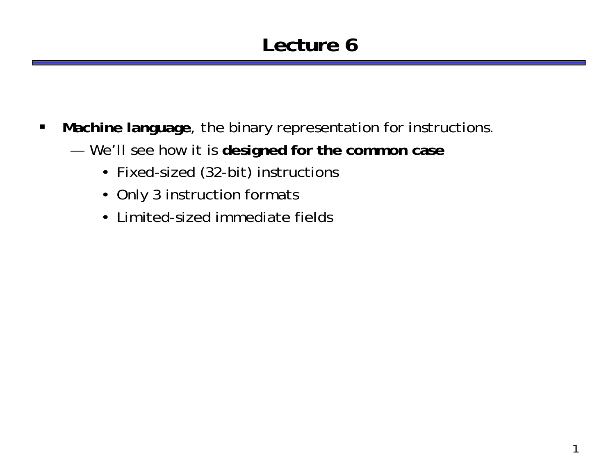## **Lecture 6**

- $\blacksquare$  **Machine language**, the binary representation for instructions.
	- — We'll see how it is **designed for the common case**
		- Fixed-sized (32-bit) instructions
		- Only 3 instruction formats
		- Limited-sized immediate fields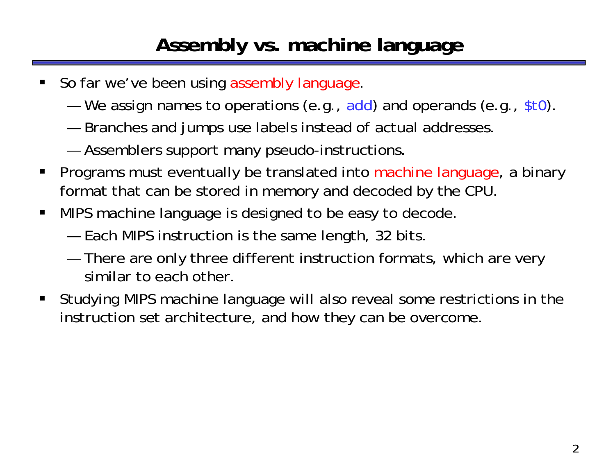## **Assembly vs. machine language**

- $\blacksquare$ So far we've been using assembly language.
	- —We assign names to operations (e.g., add) and operands (e.g., \$t0).
	- —Branches and jumps use labels instead of actual addresses.
	- —Assemblers support many pseudo-instructions.
- $\blacksquare$  Programs must eventually be translated into machine language, a binary format that can be stored in memory and decoded by the CPU.
- $\blacksquare$  MIPS machine language is designed to be easy to decode.
	- —Each MIPS instruction is the same length, 32 bits.
	- — There are only three different instruction formats, which are very similar to each other.
- $\blacksquare$  Studying MIPS machine language will also reveal some restrictions in the instruction set architecture, and how they can be overcome.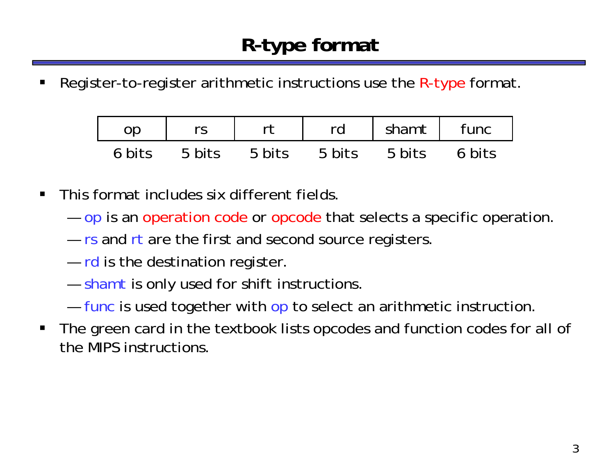ш Register-to-register arithmetic instructions use the R-type format.

| 0D     |        |        | rd     | shamt  | func   |
|--------|--------|--------|--------|--------|--------|
| 6 bits | 5 bits | 5 bits | 5 bits | 5 bits | 6 bits |

- $\blacksquare$  This format includes six different fields.
	- — $-$  op is an operation code or opcode that selects a specific operation.
	- — $-$  rs and rt are the first and second source registers.
	- — $-$  rd is the destination register.
	- — $-$  shamt is only used for shift instructions.
	- —— func is used together with op to select an arithmetic instruction.
- $\blacksquare$  The green card in the textbook lists opcodes and function codes for all of the MIPS instructions.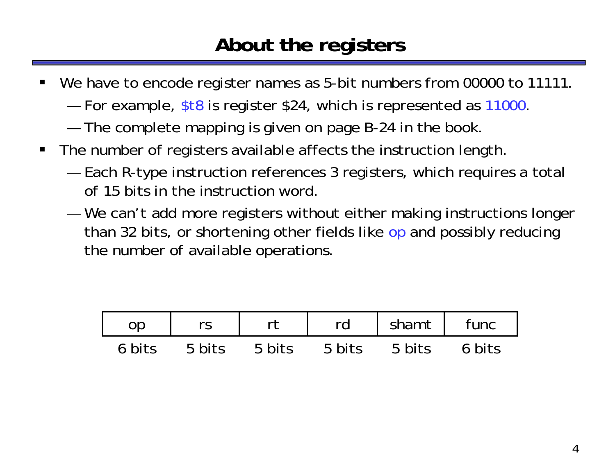### **About the registers**

- ш We have to encode register names as 5-bit numbers from 00000 to 11111.
	- —For example, \$t8 is register \$24, which is represented as 11000.
	- —The complete mapping is given on page B-24 in the book.
- $\blacksquare$  The number of registers available affects the instruction length.
	- — Each R-type instruction references 3 registers, which requires a total of 15 bits in the instruction word.
	- — We can't add more registers without either making instructions longer than 32 bits, or shortening other fields like op and possibly reducing the number of available operations.

|        |        |        | rd     | $\vert$ shamt $\vert$ | func   |
|--------|--------|--------|--------|-----------------------|--------|
| 6 bits | 5 bits | 5 bits | 5 bits | 5 bits                | 6 bits |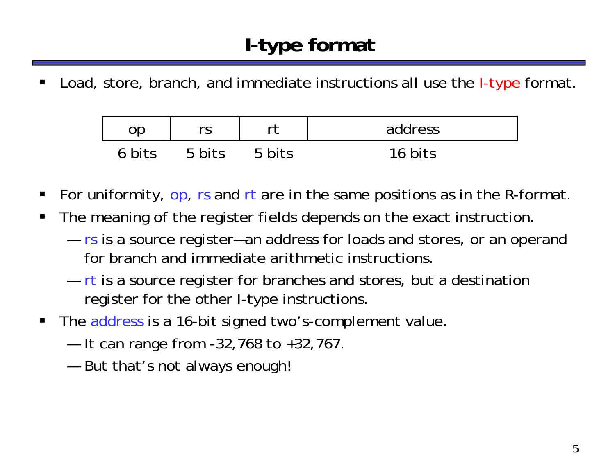ш Load, store, branch, and immediate instructions all use the *I-type* format.

| op     |        |        | address |
|--------|--------|--------|---------|
| 6 bits | 5 hits | 5 bits | bits    |

- $\blacksquare$ For uniformity, op, rs and rt are in the same positions as in the R-format.
- $\blacksquare$  The meaning of the register fields depends on the exact instruction.
	- — $-$  rs is a source register—an address for loads and stores, or an operand for branch and immediate arithmetic instructions.
	- — $-$  rt is a source register for branches and stores, but a destination register for the other I-type instructions.
- $\blacksquare$  The address is a 16-bit signed two's-complement value.
	- —It can range from -32,768 to +32,767.
	- —But that's not always enough!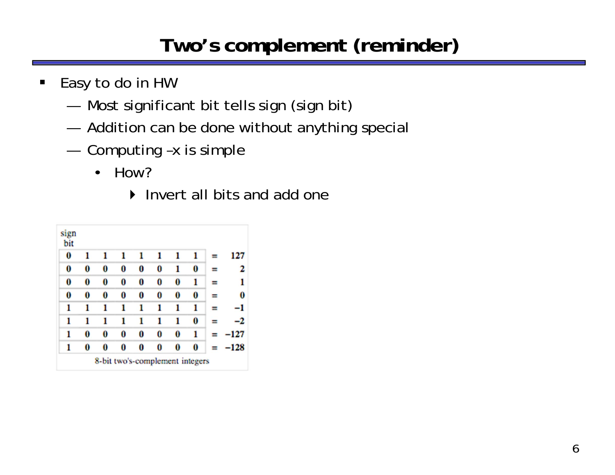# **Two's complement (reminder)**

- $\blacksquare$  Easy to do in HW
	- —Most significant bit tells sign (sign bit)
	- —Addition can be done without anything special
	- — Computing –x is simple
		- • How?
			- ▶ Invert all bits and add one

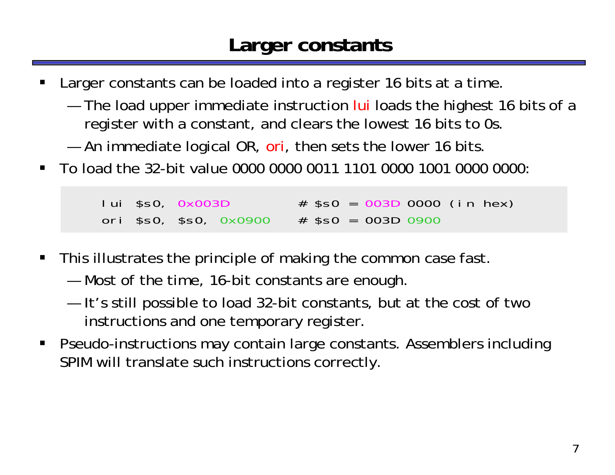#### **Larger constants**

- ш Larger constants can be loaded into a register 16 bits at a time.
	- —The load upper immediate instruction lui loads the highest 16 bits of a register with a constant, and clears the lowest 16 bits to 0s.
	- —An immediate logical OR, ori, then sets the lower 16 bits.
- $\blacksquare$ To load the 32-bit value 0000 0000 0011 1101 0000 1001 0000 0000:

 $lui$  \$s0,  $0x003D$   $\#$  \$s0 = 003D 0000 (in hex) ori \$s0, \$s0, 0x0900 # \$s0 = 003D 0900

- $\blacksquare$  This illustrates the principle of making the common case fast.
	- —Most of the time, 16-bit constants are enough.
	- — It's still possible to load 32-bit constants, but at the cost of two instructions and one temporary register.
- $\blacksquare$  Pseudo-instructions may contain large constants. Assemblers including SPIM will translate such instructions correctly.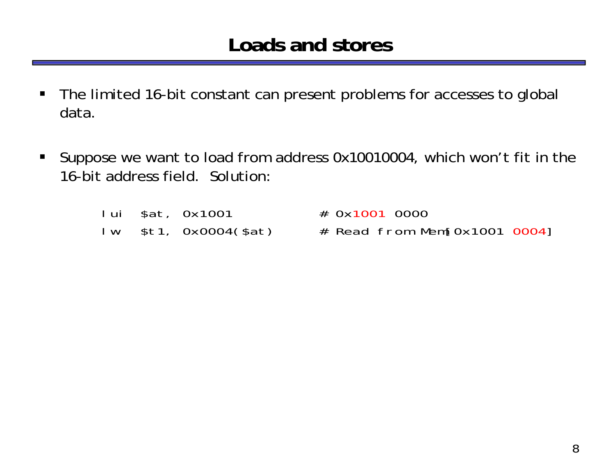#### **Loads and stores**

- $\blacksquare$  The limited 16-bit constant can present problems for accesses to global data.
- $\blacksquare$  Suppose we want to load from address 0x10010004, which won't fit in the 16-bit address field. Solution:

|  | lui \$at, Ox1001      | # 0x1001 0000                  |
|--|-----------------------|--------------------------------|
|  | lw \$t1, 0x0004(\$at) | $#$ Read from Mem[0x1001 0004] |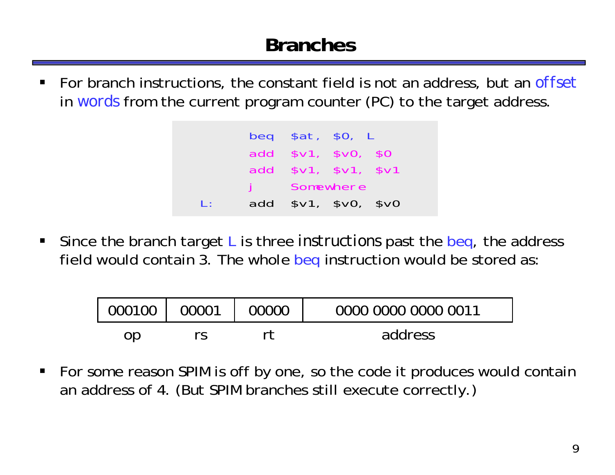## **Branches**

 $\blacksquare$  For branch instructions, the constant field is not an address, but an *offset* in *words* from the current program counter (PC) to the target address.

|              | beg \$at, \$0, L     |           |  |
|--------------|----------------------|-----------|--|
|              | add \$v1, \$v0, \$0  |           |  |
|              | add \$v1, \$v1, \$v1 |           |  |
|              |                      | Somewhere |  |
| $\mathbf{E}$ | add $$v1, $v0, $v0$  |           |  |

 $\blacksquare$  Since the branch target L is three *instructions* past the beq, the address field would contain 3. The whole beq instruction would be stored as:

| $.000100$ ' | 00001 | 00000 | 0000 0000 0000 0011 |
|-------------|-------|-------|---------------------|
| op          |       |       | address             |

 $\blacksquare$  For some reason SPIM is off by one, so the code it produces would contain an address of 4. (But SPIM branches still execute correctly.)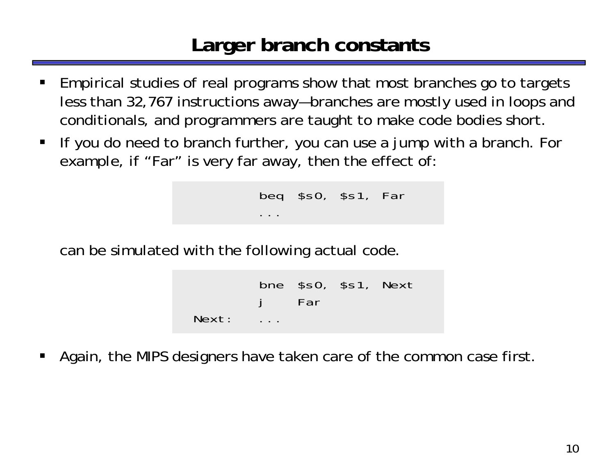### **Larger branch constants**

- ш Empirical studies of real programs show that most branches go to targets less than 32,767 instructions away—branches are mostly used in loops and conditionals, and programmers are taught to make code bodies short.
- **If you do need to branch further, you can use a jump with a branch. For** example, if "Far" is very far away, then the effect of:

```
beq $s0, $s1, Far
...
```
can be simulated with the following actual code.

```
bne $s0, $s1, Next
            Far
Next: ...
```
П Again, the MIPS designers have taken care of the common case first.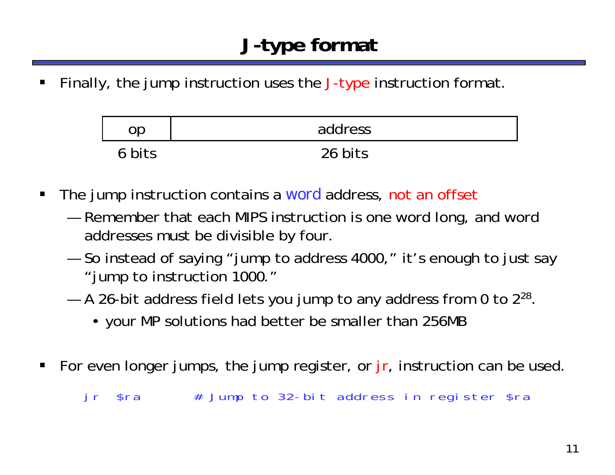ш Finally, the jump instruction uses the J-type instruction format.

|        | address |
|--------|---------|
| 6 bits | 26 bits |

- $\blacksquare$  The jump instruction contains a *word* address, not an offset
	- — Remember that each MIPS instruction is one word long, and word addresses must be divisible by four.
	- — So instead of saying "jump to address 4000," it's enough to just say "jump to instruction 1000."
	- —A 26-bit address field lets you jump to any address from 0 to 2 $^{28}.$ 
		- your MP solutions had better be smaller than 256MB
- $\blacksquare$ For even longer jumps, the jump register, or  $jr$ , instruction can be used.

jr \$ra # Jump to 32-bit address in register \$ra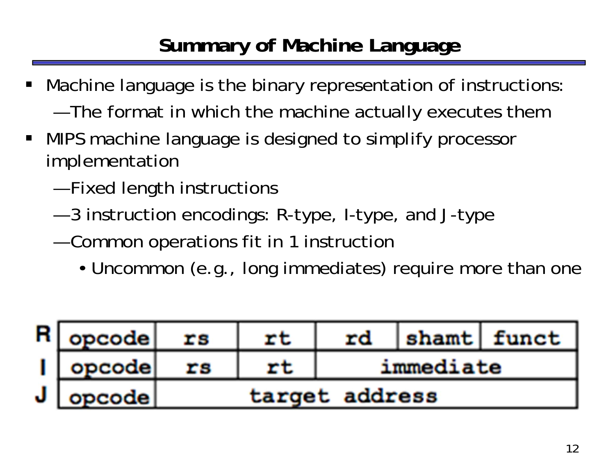# **Summary of Machine Language**

- Machine language is the binary representation of instructions: and the state of the state of The format in which the machine actually executes them
- $\blacksquare$  MIPS machine language is designed to simplify processor implementation
	- —Fixed length instructions
	- and the state of the state of 3 instruction encodings: R-type, I-type, and J-type
	- — Common operations fit in 1 instruction
		- Uncommon (e.g., long immediates) require more than one

| $R$ opcode     | rs | rt | rd             |           | shamt funct |
|----------------|----|----|----------------|-----------|-------------|
| $\vert$ opcode | rs | rt |                | immediate |             |
| $J$ opcode     |    |    | target address |           |             |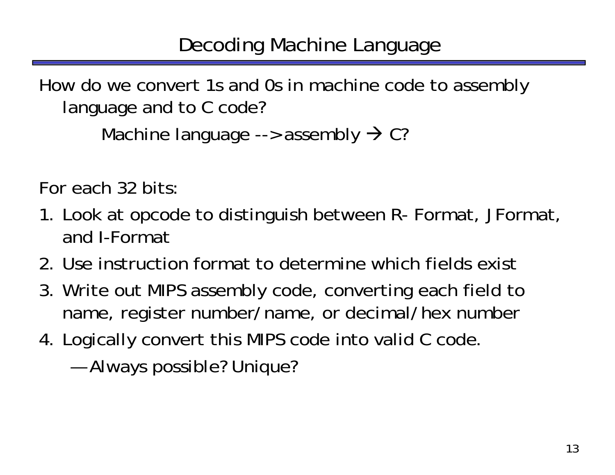How do we convert 1s and 0s in machine code to assembly language and to C code?

```
Machine language --> assembly \rightarrow C?
```
For each 32 bits:

- 1. Look at opcode to distinguish between R- Format, JFormat, and I-Format
- 2. Use instruction format to determine which fields exist
- 3. Write out MIPS assembly code, converting each field to name, register number/name, or decimal/hex number
- 4. Logically convert this MIPS code into valid C code.
	- —Always possible? Unique?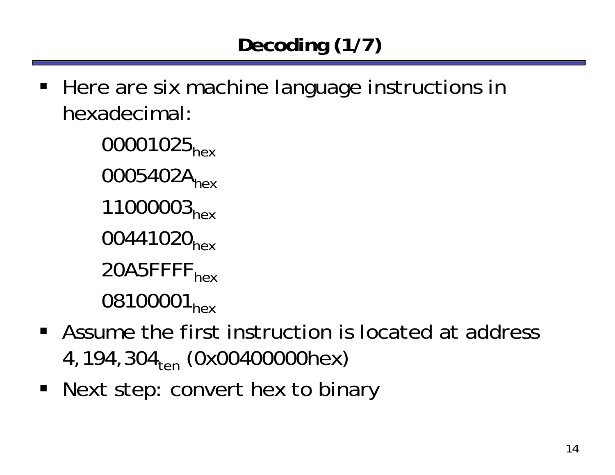**Here are six machine language instructions in** hexadecimal:

> 00001025<sub>hex</sub> 0005402A<sub>hex</sub> 11000003<sub>hex</sub> 00441020<sub>hex</sub> 20A5FFFF<sub>hex</sub> 08100001<sub>hex</sub>

- Assume the first instruction is located at address 4,194,304<sub>ten</sub> (0x00400000hex)
- **Next step: convert hex to binary**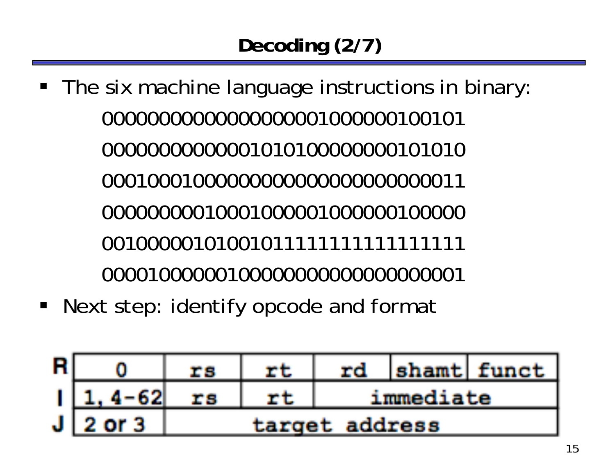- **The six machine language instructions in binary:**
- Next step: identify opcode and format

| R |              | rs | rt | rd             |  | shamt funct |
|---|--------------|----|----|----------------|--|-------------|
|   | $1 1, 4-62 $ | rs |    | immediate      |  |             |
|   | $J$ 2 or 3   |    |    | target address |  |             |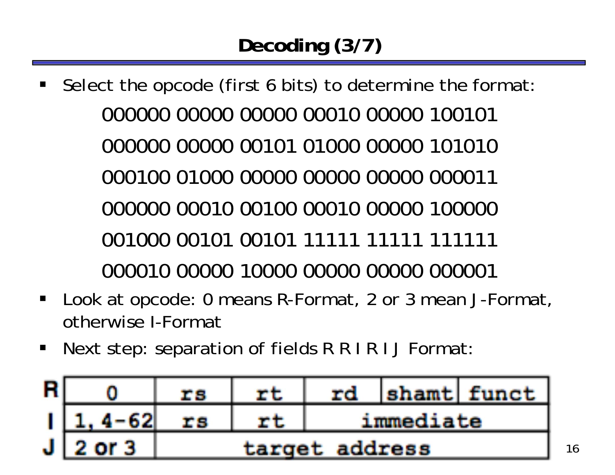- L Select the opcode (first 6 bits) to determine the format: 000000 00000 00000 00010 00000 100101000000 00000 00101 01000 00000 101010000100 01000 00000 00000 00000 000011000000 00010 00100 00010 00000 100000001000 00101 00101 11111 11111 111111000010 00000 10000 00000 00000 000001
- $\blacksquare$  Look at opcode: 0 means R-Format, 2 or 3 mean J-Format, otherwise I-Format
- $\blacksquare$ Next step: separation of fields R R I R I J Format:

| R |             | rs             |  | rd        |  | shamt funct |
|---|-------------|----------------|--|-----------|--|-------------|
|   | $1, 4 - 62$ | rs             |  | immediate |  |             |
|   | $J$ 2 or 3  | target address |  |           |  |             |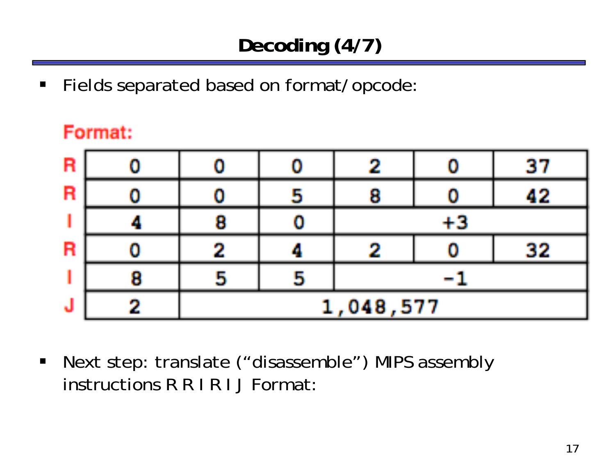$\blacksquare$ Fields separated based on format/opcode:

#### Format:

| R |          |  |      |  | 37 |
|---|----------|--|------|--|----|
| R |          |  | 8    |  | 42 |
|   | 8        |  | $+3$ |  |    |
| R |          |  |      |  | 32 |
|   | ь        |  |      |  |    |
| J | ,048,577 |  |      |  |    |

 $\begin{array}{c} \hline \end{array}$  Next step: translate ("disassemble") MIPS assembly instructions R R I R I J Format: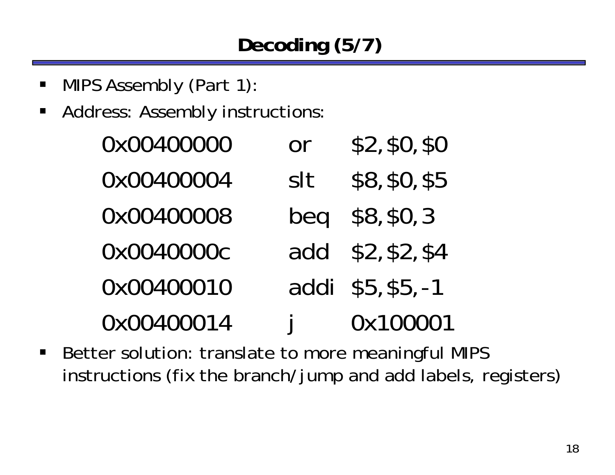# **Decoding (5/7)**

- $\blacksquare$ MIPS Assembly (Part 1):
- $\blacksquare$ Address: Assembly instructions:

| 0x00400000 | <b>or</b>    | \$2, \$0, \$0     |
|------------|--------------|-------------------|
| 0x00400004 | slt          | \$8, \$0, \$5     |
| 0x00400008 | beg          | \$8, \$0, 3       |
| 0x0040000c |              | add \$2, \$2, \$4 |
| 0x00400010 |              | addi \$5, \$5, -1 |
| 0x00400014 | $\mathbf{I}$ | 0x100001          |

 $\blacksquare$  Better solution: translate to more meaningful MIPS instructions (fix the branch/jump and add labels, registers)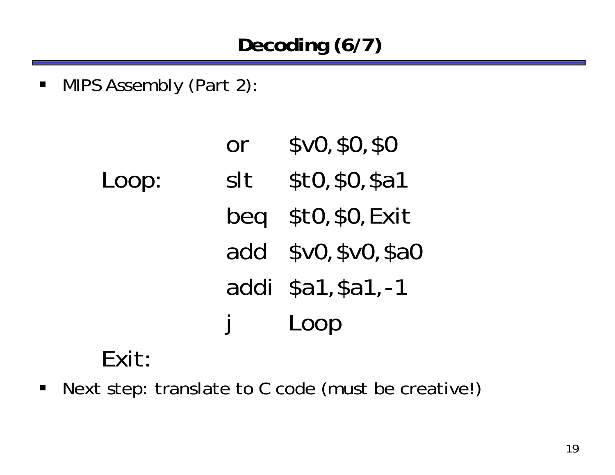MIPS Assembly (Part 2):

|       | Or            | \$v0, \$0, \$0      |
|-------|---------------|---------------------|
| Loop: | slt           | \$10, \$0, \$a1     |
|       |               | beg \$t0, \$0, Exit |
|       | add           | \$v0, \$v0, \$a0    |
|       |               | addi \$a1, \$a1, -1 |
|       | $\frac{1}{2}$ | Loop                |
| Fvit• |               |                     |

# Exit:

 $\blacksquare$ Next step: translate to C code (must be creative!)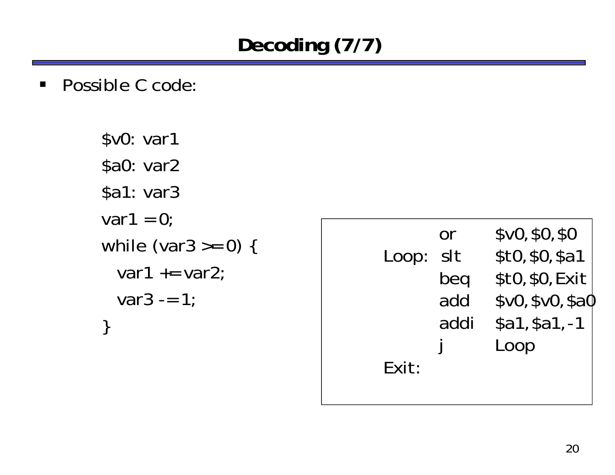# **Decoding (7/7)**

■ Possible C code:

\$v0: var1 \$a0: var2 \$a1: var3 var1 =  $0$ ; while (var $3 \ge 0$ ) { var1  $+=$  var2;  $var3 = 1$ ; }

|       | Or   | \$v0, \$0, \$0   |
|-------|------|------------------|
| Loop: | slt  | \$10, \$0, \$a1  |
|       | beg  | \$t0, \$0, Exit  |
|       | add  | \$v0, \$v0, \$a0 |
|       | addi | $$a1, $a1, -1$   |
|       |      | Loop             |
| Exit: |      |                  |
|       |      |                  |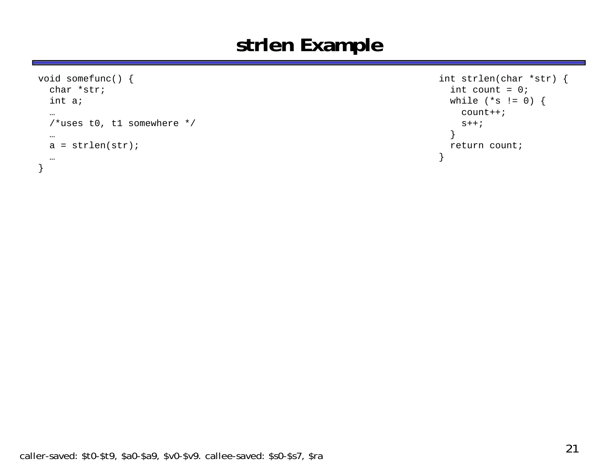#### **strlen Example**

```
void somefunc() {
  char *str;int a;
  … 
  /*uses t0, t1 somewhere */
  …
  a = strlen(str);
  …
}
```

```
int strlen(char *str) {
  int count = 0;
  while (*s != 0) {
    count++;
    s++;
  }
  return count;
}
```